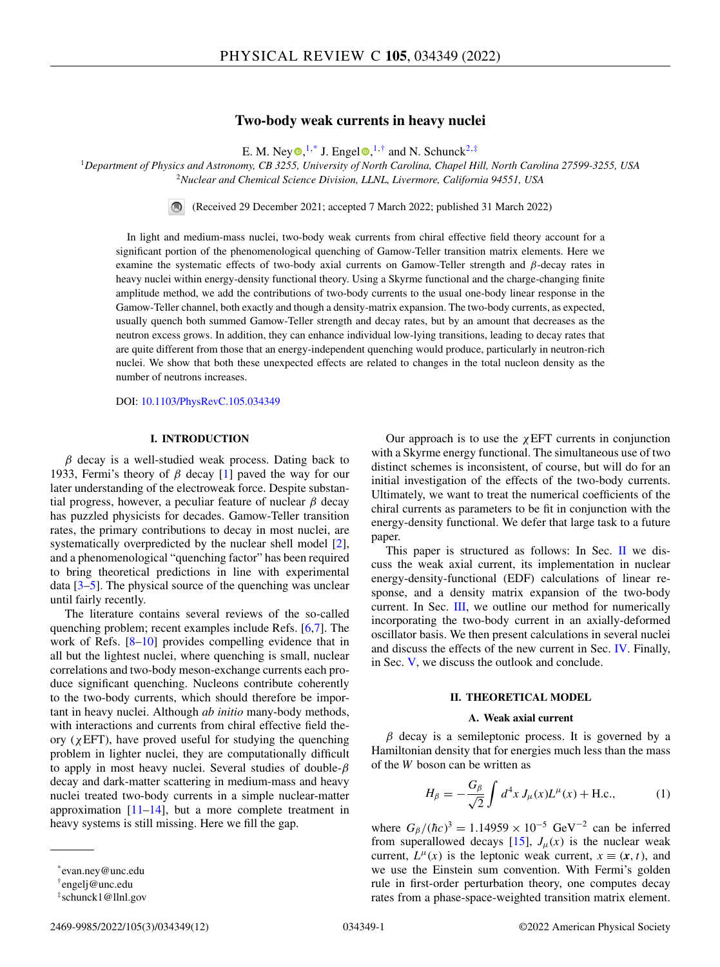# **Two-body weak currents in heavy nuclei**

E. M. Ney  $\mathbf{D}$ [,](https://orcid.org/0000-0001-8008-2314)<sup>1,\*</sup> J. Enge[l](https://orcid.org/0000-0002-2748-6640)  $\mathbf{D}$ ,<sup>1,†</sup> and N. Schunck<sup>2,‡</sup>

<span id="page-0-0"></span><sup>1</sup>*Department of Physics and Astronomy, CB 3255, University of North Carolina, Chapel Hill, North Carolina 27599-3255, USA* <sup>2</sup>*Nuclear and Chemical Science Division, LLNL, Livermore, California 94551, USA*

(Received 29 December 2021; accepted 7 March 2022; published 31 March 2022)

In light and medium-mass nuclei, two-body weak currents from chiral effective field theory account for a significant portion of the phenomenological quenching of Gamow-Teller transition matrix elements. Here we examine the systematic effects of two-body axial currents on Gamow-Teller strength and β-decay rates in heavy nuclei within energy-density functional theory. Using a Skyrme functional and the charge-changing finite amplitude method, we add the contributions of two-body currents to the usual one-body linear response in the Gamow-Teller channel, both exactly and though a density-matrix expansion. The two-body currents, as expected, usually quench both summed Gamow-Teller strength and decay rates, but by an amount that decreases as the neutron excess grows. In addition, they can enhance individual low-lying transitions, leading to decay rates that are quite different from those that an energy-independent quenching would produce, particularly in neutron-rich nuclei. We show that both these unexpected effects are related to changes in the total nucleon density as the number of neutrons increases.

DOI: [10.1103/PhysRevC.105.034349](https://doi.org/10.1103/PhysRevC.105.034349)

## **I. INTRODUCTION**

 $\beta$  decay is a well-studied weak process. Dating back to 1933, Fermi's theory of  $\beta$  decay [\[1\]](#page-10-0) paved the way for our later understanding of the electroweak force. Despite substantial progress, however, a peculiar feature of nuclear  $\beta$  decay has puzzled physicists for decades. Gamow-Teller transition rates, the primary contributions to decay in most nuclei, are systematically overpredicted by the nuclear shell model [\[2\]](#page-10-0), and a phenomenological "quenching factor" has been required to bring theoretical predictions in line with experimental data  $[3-5]$ . The physical source of the quenching was unclear until fairly recently.

The literature contains several reviews of the so-called quenching problem; recent examples include Refs. [\[6,7\]](#page-10-0). The work of Refs. [\[8–10\]](#page-10-0) provides compelling evidence that in all but the lightest nuclei, where quenching is small, nuclear correlations and two-body meson-exchange currents each produce significant quenching. Nucleons contribute coherently to the two-body currents, which should therefore be important in heavy nuclei. Although *ab initio* many-body methods, with interactions and currents from chiral effective field theory ( $χEFT$ ), have proved useful for studying the quenching problem in lighter nuclei, they are computationally difficult to apply in most heavy nuclei. Several studies of double- $\beta$ decay and dark-matter scattering in medium-mass and heavy nuclei treated two-body currents in a simple nuclear-matter approximation  $[11–14]$ , but a more complete treatment in heavy systems is still missing. Here we fill the gap.

Our approach is to use the  $\chi$ EFT currents in conjunction with a Skyrme energy functional. The simultaneous use of two distinct schemes is inconsistent, of course, but will do for an initial investigation of the effects of the two-body currents. Ultimately, we want to treat the numerical coefficients of the chiral currents as parameters to be fit in conjunction with the energy-density functional. We defer that large task to a future paper.

This paper is structured as follows: In Sec.  $\mathbf{II}$  we discuss the weak axial current, its implementation in nuclear energy-density-functional (EDF) calculations of linear response, and a density matrix expansion of the two-body current. In Sec. [III,](#page-2-0) we outline our method for numerically incorporating the two-body current in an axially-deformed oscillator basis. We then present calculations in several nuclei and discuss the effects of the new current in Sec. [IV.](#page-4-0) Finally, in Sec. [V,](#page-7-0) we discuss the outlook and conclude.

### **II. THEORETICAL MODEL**

#### **A. Weak axial current**

 $\beta$  decay is a semileptonic process. It is governed by a Hamiltonian density that for energies much less than the mass of the *W* boson can be written as

$$
H_{\beta} = -\frac{G_{\beta}}{\sqrt{2}} \int d^4x J_{\mu}(x)L^{\mu}(x) + \text{H.c.}, \tag{1}
$$

where  $G_{\beta}/(\hbar c)^3 = 1.14959 \times 10^{-5} \text{ GeV}^{-2}$  can be inferred from superallowed decays [\[15\]](#page-10-0),  $J_\mu(x)$  is the nuclear weak current,  $L^{\mu}(x)$  is the leptonic weak current,  $x \equiv (x, t)$ , and we use the Einstein sum convention. With Fermi's golden rule in first-order perturbation theory, one computes decay rates from a phase-space-weighted transition matrix element.

<sup>\*</sup>evan.ney@unc.edu

<sup>†</sup>engelj@unc.edu

<sup>‡</sup>schunck1@llnl.gov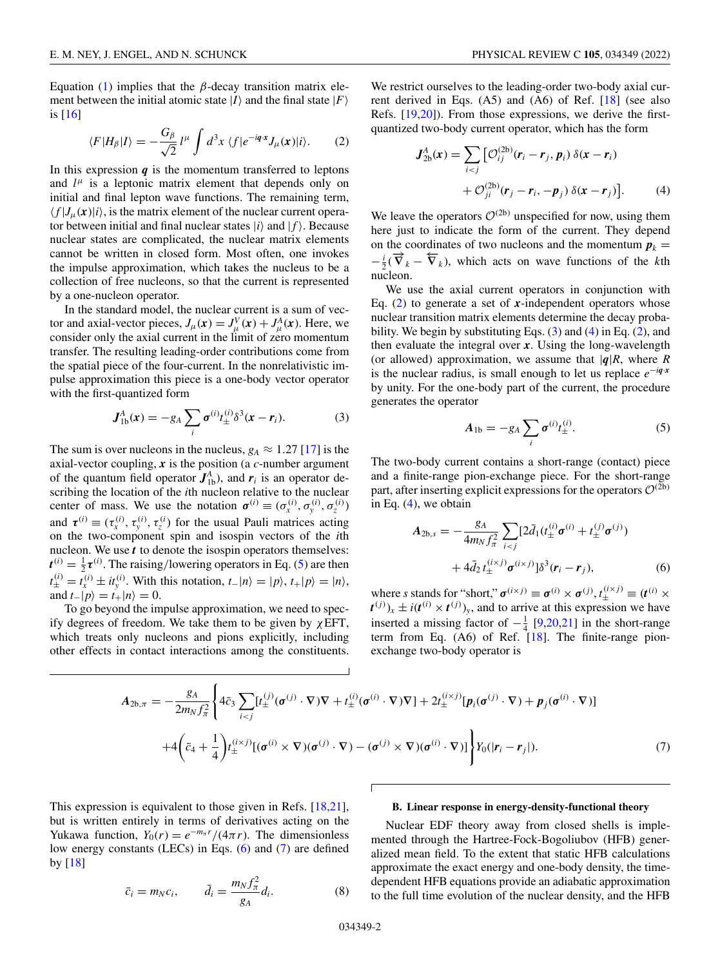<span id="page-1-0"></span>Equation [\(1\)](#page-0-0) implies that the β-decay transition matrix element between the initial atomic state  $|I\rangle$  and the final state  $|F\rangle$ is [\[16\]](#page-10-0)

$$
\langle F|H_{\beta}|I\rangle = -\frac{G_{\beta}}{\sqrt{2}}l^{\mu}\int d^3x \,\langle f|e^{-iq\cdot x}J_{\mu}(x)|i\rangle. \tag{2}
$$

In this expression  $q$  is the momentum transferred to leptons and  $l^{\mu}$  is a leptonic matrix element that depends only on initial and final lepton wave functions. The remaining term,  $\langle f|J_\mu(\mathbf{x})|i\rangle$ , is the matrix element of the nuclear current operator between initial and final nuclear states  $|i\rangle$  and  $|f\rangle$ . Because nuclear states are complicated, the nuclear matrix elements cannot be written in closed form. Most often, one invokes the impulse approximation, which takes the nucleus to be a collection of free nucleons, so that the current is represented by a one-nucleon operator.

In the standard model, the nuclear current is a sum of vector and axial-vector pieces,  $J_{\mu}(\mathbf{x}) = J_{\mu}^{V}(\mathbf{x}) + J_{\mu}^{A}(\mathbf{x})$ . Here, we consider only the axial current in the limit of zero momentum transfer. The resulting leading-order contributions come from the spatial piece of the four-current. In the nonrelativistic impulse approximation this piece is a one-body vector operator with the first-quantized form

$$
\boldsymbol{J}_{1b}^A(\boldsymbol{x}) = -g_A \sum_i \boldsymbol{\sigma}^{(i)} t_{\pm}^{(i)} \delta^3(\boldsymbol{x} - \boldsymbol{r}_i). \tag{3}
$$

The sum is over nucleons in the nucleus,  $g_A \approx 1.27$  [\[17\]](#page-10-0) is the axial-vector coupling, *x* is the position (a *c*-number argument of the quantum field operator  $J_{1b}^A$ ), and  $r_i$  is an operator describing the location of the *i*th nucleon relative to the nuclear center of mass. We use the notation  $\sigma^{(i)} \equiv (\sigma_x^{(i)}, \sigma_y^{(i)}, \sigma_z^{(i)})$ and  $\tau^{(i)} \equiv (\tau_x^{(i)}, \tau_y^{(i)}, \tau_z^{(i)})$  for the usual Pauli matrices acting on the two-component spin and isospin vectors of the *i*th nucleon. We use *t* to denote the isospin operators themselves:  $t^{(i)} = \frac{1}{2} \tau^{(i)}$ . The raising/lowering operators in Eq. (5) are then  $t^{(i)}_{\pm} = t^{(i)}_{x} \pm it^{(i)}_{y}$ . With this notation,  $t_{-}|n\rangle = |p\rangle, t_{+}|p\rangle = |n\rangle,$ and  $t_{-}|p\rangle = t_{+}|n\rangle = 0$ .

To go beyond the impulse approximation, we need to specify degrees of freedom. We take them to be given by  $\chi$ EFT, which treats only nucleons and pions explicitly, including other effects in contact interactions among the constituents.

We restrict ourselves to the leading-order two-body axial current derived in Eqs. (A5) and (A6) of Ref. [\[18\]](#page-10-0) (see also Refs. [\[19,20\]](#page-10-0)). From those expressions, we derive the firstquantized two-body current operator, which has the form

$$
J_{2b}^{A}(x) = \sum_{i < j} \left[ \mathcal{O}_{ij}^{(2b)}(r_i - r_j, p_i) \, \delta(x - r_i) \right. \\ + \mathcal{O}_{ji}^{(2b)}(r_j - r_i, -p_j) \, \delta(x - r_j) \Big]. \tag{4}
$$

We leave the operators  $\mathcal{O}^{(2b)}$  unspecified for now, using them here just to indicate the form of the current. They depend on the coordinates of two nucleons and the momentum  $p_k =$  $-\frac{i}{2}(\vec{V}_k - \vec{V}_k)$ , which acts on wave functions of the *k*th nucleon.

We use the axial current operators in conjunction with Eq. (2) to generate a set of *x*-independent operators whose nuclear transition matrix elements determine the decay probability. We begin by substituting Eqs.  $(3)$  and  $(4)$  in Eq.  $(2)$ , and then evaluate the integral over *x*. Using the long-wavelength (or allowed) approximation, we assume that  $|q|R$ , where  $R$ is the nuclear radius, is small enough to let us replace *e*−*iq*·*<sup>x</sup>* by unity. For the one-body part of the current, the procedure generates the operator

$$
A_{1b} = -g_A \sum_i \sigma^{(i)} t_{\pm}^{(i)}.
$$
 (5)

The two-body current contains a short-range (contact) piece and a finite-range pion-exchange piece. For the short-range part, after inserting explicit expressions for the operators  $\mathcal{O}^{(\bar{2}b)}$ in Eq. (4), we obtain

$$
A_{2b,s} = -\frac{g_A}{4m_N f_\pi^2} \sum_{i < j} [2\bar{d}_1(t_\pm^{(i)} \sigma^{(i)} + t_\pm^{(j)} \sigma^{(j)}) + 4\bar{d}_2 t_\pm^{(i \times j)} \sigma^{(i \times j)}] \delta^3(\mathbf{r}_i - \mathbf{r}_j), \tag{6}
$$

where *s* stands for "short,"  $\sigma^{(i \times j)} \equiv \sigma^{(i)} \times \sigma^{(j)}$ ,  $t_{\pm}^{(i \times j)} \equiv (t^{(i)} \times$  $t^{(j)}$ <sub> $x \pm i(t^{(i)} \times t^{(j)})$ <sup>y</sup>, and to arrive at this expression we have</sub> inserted a missing factor of  $-\frac{1}{4}$  [\[9,20,21\]](#page-10-0) in the short-range term from Eq.  $(A6)$  of Ref.  $[18]$ . The finite-range pionexchange two-body operator is

$$
A_{2b,\pi} = -\frac{g_A}{2m_N f_{\pi}^2} \left\{ 4\bar{c}_3 \sum_{i < j} [t_{\pm}^{(j)}(\sigma^{(j)} \cdot \nabla) \nabla + t_{\pm}^{(i)}(\sigma^{(i)} \cdot \nabla) \nabla] + 2t_{\pm}^{(i \times j)} [\mathbf{p}_i(\sigma^{(j)} \cdot \nabla) + \mathbf{p}_j(\sigma^{(i)} \cdot \nabla)] \right\}
$$
  
+4 $\left(\bar{c}_4 + \frac{1}{4}\right) t_{\pm}^{(i \times j)} [(\sigma^{(i)} \times \nabla)(\sigma^{(j)} \cdot \nabla) - (\sigma^{(j)} \times \nabla)(\sigma^{(i)} \cdot \nabla)] \right\} Y_0(|\mathbf{r}_i - \mathbf{r}_j|).$  (7)

Г

This expression is equivalent to those given in Refs. [\[18,21\]](#page-10-0), but is written entirely in terms of derivatives acting on the Yukawa function,  $Y_0(r) = e^{-m_\pi r}/(4\pi r)$ . The dimensionless low energy constants (LECs) in Eqs. (6) and (7) are defined by [\[18\]](#page-10-0)

$$
\bar{c}_i = m_N c_i, \qquad \bar{d}_i = \frac{m_N f_\pi^2}{g_A} d_i. \tag{8}
$$

#### **B. Linear response in energy-density-functional theory**

Nuclear EDF theory away from closed shells is implemented through the Hartree-Fock-Bogoliubov (HFB) generalized mean field. To the extent that static HFB calculations approximate the exact energy and one-body density, the timedependent HFB equations provide an adiabatic approximation to the full time evolution of the nuclear density, and the HFB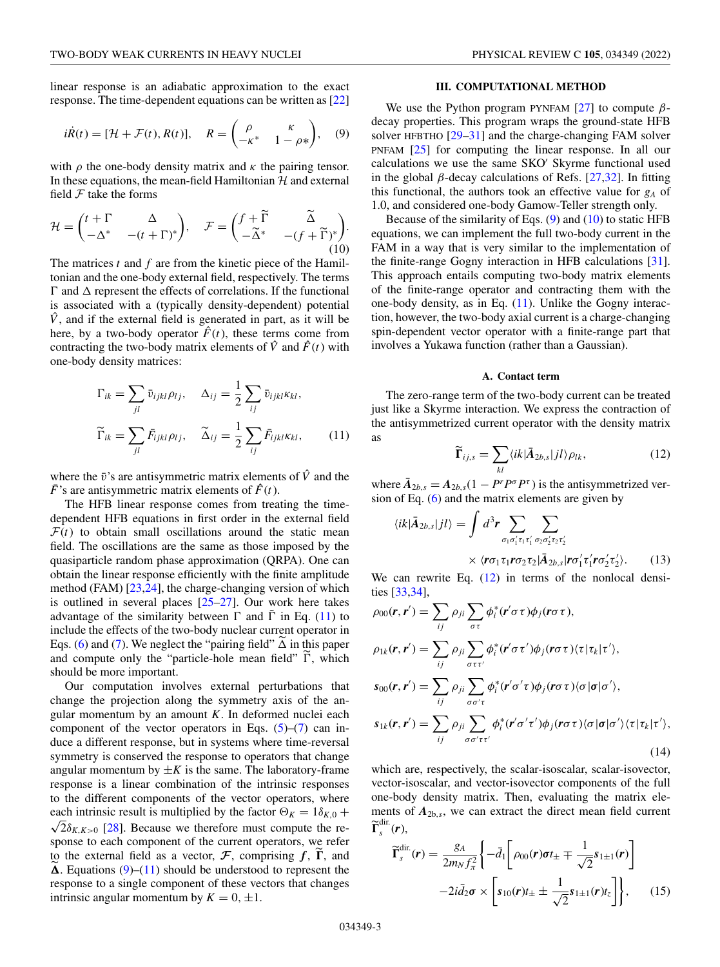<span id="page-2-0"></span>
$$
i\dot{R}(t) = [\mathcal{H} + \mathcal{F}(t), R(t)], \quad R = \begin{pmatrix} \rho & \kappa \\ -\kappa^* & 1 - \rho^* \end{pmatrix}, \quad (9)
$$

with  $\rho$  the one-body density matrix and  $\kappa$  the pairing tensor. In these equations, the mean-field Hamiltonian  $H$  and external field  $F$  take the forms

$$
\mathcal{H} = \begin{pmatrix} t + \Gamma & \Delta \\ -\Delta^* & -(t + \Gamma)^* \end{pmatrix}, \quad \mathcal{F} = \begin{pmatrix} f + \widetilde{\Gamma} & \widetilde{\Delta} \\ -\widetilde{\Delta}^* & -(f + \widetilde{\Gamma})^* \end{pmatrix}.
$$
\n(10)

The matrices *t* and *f* are from the kinetic piece of the Hamiltonian and the one-body external field, respectively. The terms  $\Gamma$  and  $\Delta$  represent the effects of correlations. If the functional is associated with a (typically density-dependent) potential  $\hat{V}$ , and if the external field is generated in part, as it will be here, by a two-body operator  $\hat{F}(t)$ , these terms come from contracting the two-body matrix elements of  $\hat{V}$  and  $\hat{F}(t)$  with one-body density matrices:

$$
\Gamma_{ik} = \sum_{jl} \bar{v}_{ijkl} \rho_{lj}, \quad \Delta_{ij} = \frac{1}{2} \sum_{ij} \bar{v}_{ijkl} \kappa_{kl},
$$

$$
\widetilde{\Gamma}_{ik} = \sum_{jl} \bar{F}_{ijkl} \rho_{lj}, \quad \widetilde{\Delta}_{ij} = \frac{1}{2} \sum_{ij} \bar{F}_{ijkl} \kappa_{kl}, \qquad (11)
$$

where the  $\bar{v}$ 's are antisymmetric matrix elements of  $\hat{V}$  and the  $\overline{F}$ 's are antisymmetric matrix elements of  $\hat{F}(t)$ .

The HFB linear response comes from treating the timedependent HFB equations in first order in the external field  $F(t)$  to obtain small oscillations around the static mean field. The oscillations are the same as those imposed by the quasiparticle random phase approximation (QRPA). One can obtain the linear response efficiently with the finite amplitude method (FAM) [\[23,24\]](#page-10-0), the charge-changing version of which is outlined in several places [\[25–27\]](#page-10-0). Our work here takes advantage of the similarity between  $\Gamma$  and  $\tilde{\Gamma}$  in Eq. (11) to include the effects of the two-body nuclear current operator in Eqs. [\(6\)](#page-1-0) and [\(7\)](#page-1-0). We neglect the "pairing field"  $\Delta$  in this paper and compute only the "particle-hole mean field"  $\Gamma$ , which should be more important.

Our computation involves external perturbations that change the projection along the symmetry axis of the angular momentum by an amount *K*. In deformed nuclei each component of the vector operators in Eqs.  $(5)-(7)$  $(5)-(7)$  $(5)-(7)$  can induce a different response, but in systems where time-reversal symmetry is conserved the response to operators that change angular momentum by  $\pm K$  is the same. The laboratory-frame response is a linear combination of the intrinsic responses to the different components of the vector operators, where each intrinsic result is multiplied by the factor  $\Theta_K = 1\delta_{K,0} +$  $\sqrt{2}\delta_{K,K>0}$  [\[28\]](#page-11-0). Because we therefore must compute the response to each component of the current operators, we refer to the external field as a vector,  $\mathcal{F}$ , comprising  $f$ ,  $\Gamma$ , and  $\Delta$ . Equations (9)–(11) should be understood to represent the response to a single component of these vectors that changes intrinsic angular momentum by  $K = 0, \pm 1$ .

## **III. COMPUTATIONAL METHOD**

We use the Python program PYNFAM  $[27]$  to compute  $\beta$ decay properties. This program wraps the ground-state HFB solver HFBTHO [\[29–31\]](#page-11-0) and the charge-changing FAM solver PNFAM [\[25\]](#page-10-0) for computing the linear response. In all our calculations we use the same SKO Skyrme functional used in the global  $\beta$ -decay calculations of Refs. [\[27](#page-10-0)[,32\]](#page-11-0). In fitting this functional, the authors took an effective value for *gA* of 1.0, and considered one-body Gamow-Teller strength only.

Because of the similarity of Eqs.  $(9)$  and  $(10)$  to static HFB equations, we can implement the full two-body current in the FAM in a way that is very similar to the implementation of the finite-range Gogny interaction in HFB calculations [\[31\]](#page-11-0). This approach entails computing two-body matrix elements of the finite-range operator and contracting them with the one-body density, as in Eq. (11). Unlike the Gogny interaction, however, the two-body axial current is a charge-changing spin-dependent vector operator with a finite-range part that involves a Yukawa function (rather than a Gaussian).

#### **A. Contact term**

The zero-range term of the two-body current can be treated just like a Skyrme interaction. We express the contraction of the antisymmetrized current operator with the density matrix as

$$
\widetilde{\Gamma}_{ij,s} = \sum_{kl} \langle ik|\bar{A}_{2b,s}|jl\rangle \rho_{lk},\tag{12}
$$

where  $\bar{A}_{2b,s} = A_{2b,s}(1 - P^r P^{\sigma} P^{\tau})$  is the antisymmetrized version of Eq. [\(6\)](#page-1-0) and the matrix elements are given by

$$
\langle ik|\bar{A}_{2b,s}|jl\rangle = \int d^3r \sum_{\sigma_1\sigma_1'\tau_1\tau_1'} \sum_{\sigma_2\sigma_2'\tau_2\tau_2'} \sum_{\forall (\mathbf{r}\sigma_1\tau_1\mathbf{r}\sigma_2\tau_2|\bar{A}_{2b,s}|\mathbf{r}\sigma_1'\tau_1'\mathbf{r}\sigma_2'\tau_2').
$$
 (13)

We can rewrite Eq. (12) in terms of the nonlocal densities [\[33,34\]](#page-11-0),

$$
\rho_{00}(\mathbf{r}, \mathbf{r}') = \sum_{ij} \rho_{ji} \sum_{\sigma \tau} \phi_i^* (\mathbf{r}' \sigma \tau) \phi_j (\mathbf{r} \sigma \tau),
$$
  
\n
$$
\rho_{1k}(\mathbf{r}, \mathbf{r}') = \sum_{ij} \rho_{ji} \sum_{\sigma \tau \tau'} \phi_i^* (\mathbf{r}' \sigma \tau') \phi_j (\mathbf{r} \sigma \tau) (\tau | \tau_k | \tau'),
$$
  
\n
$$
s_{00}(\mathbf{r}, \mathbf{r}') = \sum_{ij} \rho_{ji} \sum_{\sigma \sigma' \tau} \phi_i^* (\mathbf{r}' \sigma' \tau) \phi_j (\mathbf{r} \sigma \tau) \langle \sigma | \sigma | \sigma' \rangle,
$$
  
\n
$$
s_{1k}(\mathbf{r}, \mathbf{r}') = \sum_{ij} \rho_{ji} \sum_{\sigma \sigma' \tau \tau'} \phi_i^* (\mathbf{r}' \sigma' \tau') \phi_j (\mathbf{r} \sigma \tau) \langle \sigma | \sigma | \sigma' \rangle \langle \tau | \tau_k | \tau' \rangle,
$$
  
\n(14)

which are, respectively, the scalar-isoscalar, scalar-isovector, vector-isoscalar, and vector-isovector components of the full one-body density matrix. Then, evaluating the matrix elements of *A*2b,*<sup>s</sup>*, we can extract the direct mean field current  $\widetilde{\Gamma}_s^{\text{dir.}}(r)$ ,

$$
\widetilde{\Gamma}_{s}^{\text{dir}}(\boldsymbol{r}) = \frac{g_A}{2m_N f_{\pi}^2} \left\{ -\bar{d}_1 \left[ \rho_{00}(\boldsymbol{r}) \sigma t_{\pm} \mp \frac{1}{\sqrt{2}} s_{1\pm 1}(\boldsymbol{r}) \right] -2i\bar{d}_2 \sigma \times \left[ s_{10}(\boldsymbol{r}) t_{\pm} \pm \frac{1}{\sqrt{2}} s_{1\pm 1}(\boldsymbol{r}) t_z \right] \right\}, \qquad (15)
$$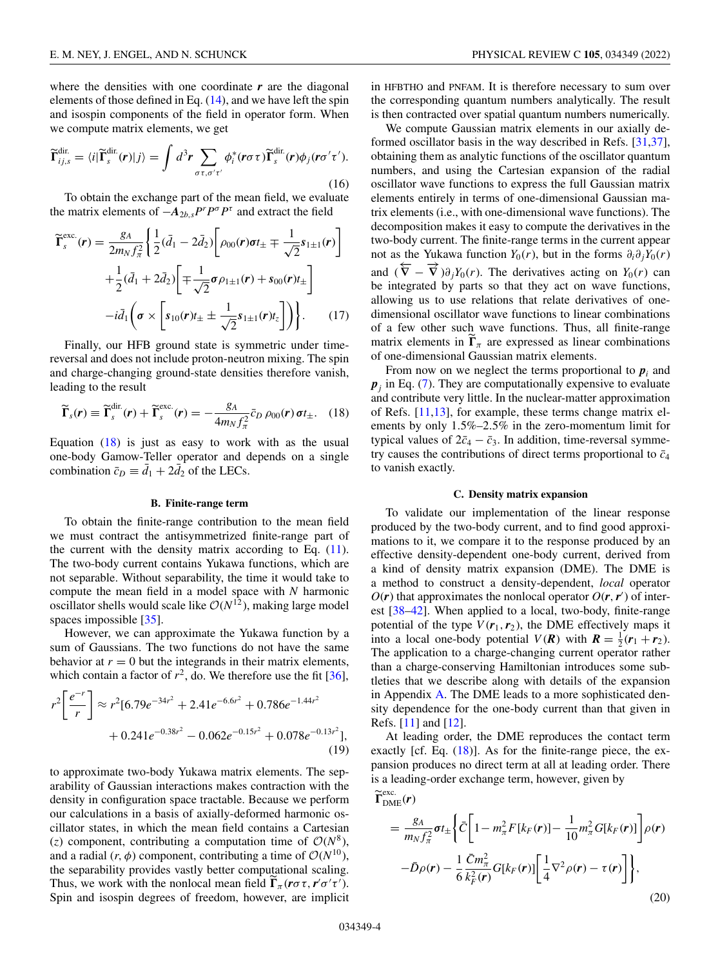<span id="page-3-0"></span>where the densities with one coordinate *r* are the diagonal elements of those defined in Eq. [\(14\)](#page-2-0), and we have left the spin and isospin components of the field in operator form. When we compute matrix elements, we get

$$
\widetilde{\Gamma}_{ij,s}^{\text{dir.}} = \langle i|\widetilde{\Gamma}_{s}^{\text{dir.}}(r)|j\rangle = \int d^{3}r \sum_{\sigma\tau,\sigma'\tau'} \phi_{i}^{*}(r\sigma\tau)\widetilde{\Gamma}_{s}^{\text{dir.}}(r)\phi_{j}(r\sigma'\tau'). \tag{16}
$$

To obtain the exchange part of the mean field, we evaluate the matrix elements of  $-A_{2b,s}P^rP^{\sigma}P^{\tau}$  and extract the field

$$
\widetilde{\Gamma}_{s}^{\text{exc.}}(\boldsymbol{r}) = \frac{g_{A}}{2m_{N}f_{\pi}^{2}} \left\{ \frac{1}{2}(\bar{d}_{1} - 2\bar{d}_{2}) \left[ \rho_{00}(\boldsymbol{r}) \boldsymbol{\sigma} t_{\pm} \mp \frac{1}{\sqrt{2}} s_{1\pm 1}(\boldsymbol{r}) \right] + \frac{1}{2}(\bar{d}_{1} + 2\bar{d}_{2}) \left[ \mp \frac{1}{\sqrt{2}} \boldsymbol{\sigma} \rho_{1\pm 1}(\boldsymbol{r}) + s_{00}(\boldsymbol{r}) t_{\pm} \right] - i\bar{d}_{1} \left( \boldsymbol{\sigma} \times \left[ s_{10}(\boldsymbol{r}) t_{\pm} \pm \frac{1}{\sqrt{2}} s_{1\pm 1}(\boldsymbol{r}) t_{z} \right] \right) \right\}.
$$
 (17)

Finally, our HFB ground state is symmetric under timereversal and does not include proton-neutron mixing. The spin and charge-changing ground-state densities therefore vanish, leading to the result

$$
\widetilde{\Gamma}_s(\boldsymbol{r}) \equiv \widetilde{\Gamma}_s^{\text{dir}}(\boldsymbol{r}) + \widetilde{\Gamma}_s^{\text{exc.}}(\boldsymbol{r}) = -\frac{g_A}{4m_N f_\pi^2} \bar{c}_D \, \rho_{00}(\boldsymbol{r}) \, \sigma t_\pm. \tag{18}
$$

Equation  $(18)$  is just as easy to work with as the usual one-body Gamow-Teller operator and depends on a single combination  $\bar{c}_D \equiv \bar{d}_1 + 2\bar{d}_2$  of the LECs.

## **B. Finite-range term**

To obtain the finite-range contribution to the mean field we must contract the antisymmetrized finite-range part of the current with the density matrix according to Eq.  $(11)$ . The two-body current contains Yukawa functions, which are not separable. Without separability, the time it would take to compute the mean field in a model space with *N* harmonic oscillator shells would scale like  $O(N^{12})$ , making large model spaces impossible [\[35\]](#page-11-0).

However, we can approximate the Yukawa function by a sum of Gaussians. The two functions do not have the same behavior at  $r = 0$  but the integrands in their matrix elements, which contain a factor of  $r^2$ , do. We therefore use the fit [\[36\]](#page-11-0),

$$
r^{2}\left[\frac{e^{-r}}{r}\right] \approx r^{2}[6.79e^{-34r^{2}} + 2.41e^{-6.6r^{2}} + 0.786e^{-1.44r^{2}} + 0.241e^{-0.38r^{2}} - 0.062e^{-0.15r^{2}} + 0.078e^{-0.13r^{2}}],
$$
\n(19)

to approximate two-body Yukawa matrix elements. The separability of Gaussian interactions makes contraction with the density in configuration space tractable. Because we perform our calculations in a basis of axially-deformed harmonic oscillator states, in which the mean field contains a Cartesian (*z*) component, contributing a computation time of  $O(N^8)$ , and a radial  $(r, \phi)$  component, contributing a time of  $\mathcal{O}(N^{10})$ , the separability provides vastly better computational scaling. Thus, we work with the nonlocal mean field  $\Gamma_{\pi}$  ( $r \sigma \tau$ ,  $r' \sigma' \tau'$ ). Spin and isospin degrees of freedom, however, are implicit

in HFBTHO and PNFAM. It is therefore necessary to sum over the corresponding quantum numbers analytically. The result is then contracted over spatial quantum numbers numerically.

We compute Gaussian matrix elements in our axially deformed oscillator basis in the way described in Refs. [\[31,37\]](#page-11-0), obtaining them as analytic functions of the oscillator quantum numbers, and using the Cartesian expansion of the radial oscillator wave functions to express the full Gaussian matrix elements entirely in terms of one-dimensional Gaussian matrix elements (i.e., with one-dimensional wave functions). The decomposition makes it easy to compute the derivatives in the two-body current. The finite-range terms in the current appear not as the Yukawa function *Y*<sub>0</sub>(*r*), but in the forms  $\partial_i \partial_j Y_0(r)$ and  $(\overleftarrow{\nabla} - \overrightarrow{\nabla})\partial_j Y_0(r)$ . The derivatives acting on  $Y_0(r)$  can be integrated by parts so that they act on wave functions, allowing us to use relations that relate derivatives of onedimensional oscillator wave functions to linear combinations of a few other such wave functions. Thus, all finite-range matrix elements in  $\Gamma_{\pi}$  are expressed as linear combinations of one-dimensional Gaussian matrix elements.

From now on we neglect the terms proportional to  $p_i$  and  $p_i$  in Eq. [\(7\)](#page-1-0). They are computationally expensive to evaluate and contribute very little. In the nuclear-matter approximation of Refs. [\[11,13\]](#page-10-0), for example, these terms change matrix elements by only 1.5%–2.5% in the zero-momentum limit for typical values of  $2\bar{c}_4 - \bar{c}_3$ . In addition, time-reversal symmetry causes the contributions of direct terms proportional to  $\bar{c}_4$ to vanish exactly.

### **C. Density matrix expansion**

To validate our implementation of the linear response produced by the two-body current, and to find good approximations to it, we compare it to the response produced by an effective density-dependent one-body current, derived from a kind of density matrix expansion (DME). The DME is a method to construct a density-dependent, *local* operator  $O(r)$  that approximates the nonlocal operator  $O(r, r')$  of interest [\[38–42\]](#page-11-0). When applied to a local, two-body, finite-range potential of the type  $V(r_1, r_2)$ , the DME effectively maps it into a local one-body potential  $V(R)$  with  $R = \frac{1}{2}(r_1 + r_2)$ . The application to a charge-changing current operator rather than a charge-conserving Hamiltonian introduces some subtleties that we describe along with details of the expansion in Appendix [A.](#page-8-0) The DME leads to a more sophisticated density dependence for the one-body current than that given in Refs. [\[11\]](#page-10-0) and [\[12\]](#page-10-0).

At leading order, the DME reproduces the contact term exactly [cf. Eq. (18)]. As for the finite-range piece, the expansion produces no direct term at all at leading order. There is a leading-order exchange term, however, given by

$$
\widetilde{\mathbf{\Gamma}}_{\text{DME}}^{\text{exc.}}(\boldsymbol{r})\n= \frac{g_A}{m_N f_\pi^2} \boldsymbol{\sigma} t_{\pm} \left\{ \bar{C} \bigg[ 1 - m_\pi^2 F[k_F(\boldsymbol{r})] - \frac{1}{10} m_\pi^2 G[k_F(\boldsymbol{r})] \bigg] \rho(\boldsymbol{r}) \right.\n- \bar{D}\rho(\boldsymbol{r}) - \frac{1}{6} \frac{\bar{C}m_\pi^2}{k_F^2(\boldsymbol{r})} G[k_F(\boldsymbol{r})] \bigg[ \frac{1}{4} \nabla^2 \rho(\boldsymbol{r}) - \tau(\boldsymbol{r}) \bigg] \right\},
$$
\n(20)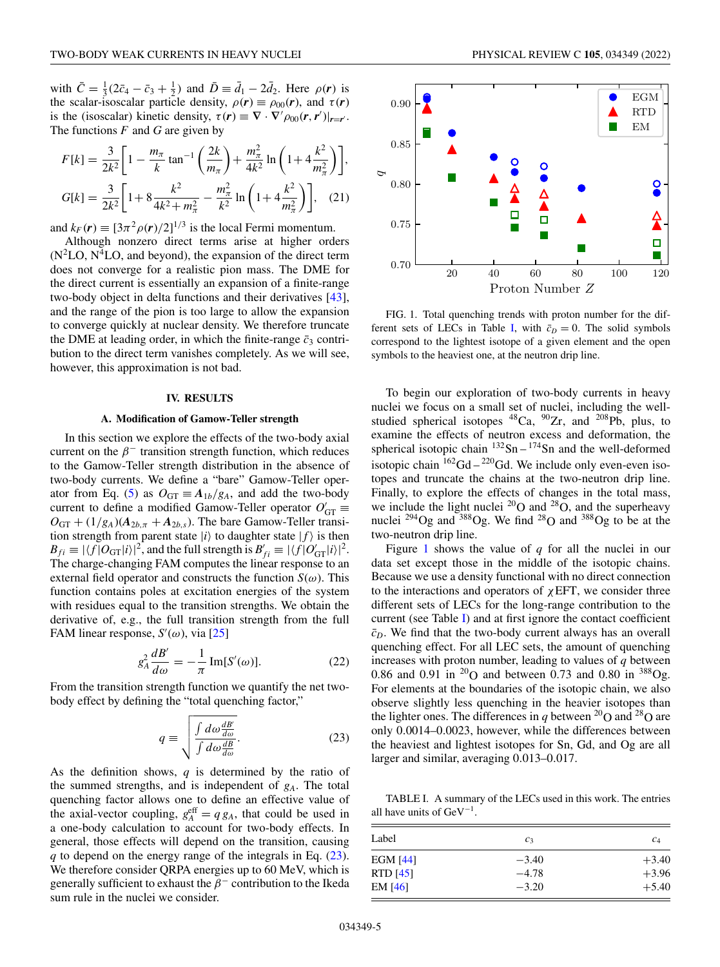<span id="page-4-0"></span>with  $\bar{C} = \frac{1}{3} (2\bar{c}_4 - \bar{c}_3 + \frac{1}{2})$  and  $\bar{D} \equiv \bar{d}_1 - 2\bar{d}_2$ . Here  $\rho(r)$  is the scalar-isoscalar particle density,  $\rho(r) \equiv \rho_{00}(r)$ , and  $\tau(r)$ is the (isoscalar) kinetic density,  $\tau(\mathbf{r}) \equiv \nabla \cdot \nabla' \rho_{00}(\mathbf{r}, \mathbf{r}')|_{\mathbf{r} = \mathbf{r}'}$ . The functions *F* and *G* are given by

$$
F[k] = \frac{3}{2k^2} \left[ 1 - \frac{m_\pi}{k} \tan^{-1} \left( \frac{2k}{m_\pi} \right) + \frac{m_\pi^2}{4k^2} \ln \left( 1 + 4 \frac{k^2}{m_\pi^2} \right) \right],
$$
  

$$
G[k] = \frac{3}{2k^2} \left[ 1 + 8 \frac{k^2}{4k^2 + m_\pi^2} - \frac{m_\pi^2}{k^2} \ln \left( 1 + 4 \frac{k^2}{m_\pi^2} \right) \right], \quad (21)
$$

and  $k_F(\mathbf{r}) \equiv [3\pi^2 \rho(\mathbf{r})/2]^{1/3}$  is the local Fermi momentum.

Although nonzero direct terms arise at higher orders  $(N<sup>2</sup>LO, N<sup>4</sup>LO,$  and beyond), the expansion of the direct term does not converge for a realistic pion mass. The DME for the direct current is essentially an expansion of a finite-range two-body object in delta functions and their derivatives [\[43\]](#page-11-0), and the range of the pion is too large to allow the expansion to converge quickly at nuclear density. We therefore truncate the DME at leading order, in which the finite-range  $\bar{c}_3$  contribution to the direct term vanishes completely. As we will see, however, this approximation is not bad.

#### **IV. RESULTS**

#### **A. Modification of Gamow-Teller strength**

In this section we explore the effects of the two-body axial current on the  $\beta^-$  transition strength function, which reduces to the Gamow-Teller strength distribution in the absence of two-body currents. We define a "bare" Gamow-Teller oper-ator from Eq. [\(5\)](#page-1-0) as  $O_{GT} \equiv A_{1b}/g_A$ , and add the two-body current to define a modified Gamow-Teller operator  $O'_{GT} \equiv$  $O_{GT} + (1/g_A)(A_{2b,\pi} + A_{2b,s})$ . The bare Gamow-Teller transition strength from parent state  $|i\rangle$  to daughter state  $|f\rangle$  is then  $B_{fi} \equiv |\langle f|O_{\text{GT}}|i\rangle|^2$ , and the full strength is  $B'_{fi} \equiv |\langle f|O'_{\text{GT}}|i\rangle|^2$ . The charge-changing FAM computes the linear response to an external field operator and constructs the function  $S(\omega)$ . This function contains poles at excitation energies of the system with residues equal to the transition strengths. We obtain the derivative of, e.g., the full transition strength from the full FAM linear response,  $S'(\omega)$ , via [\[25\]](#page-10-0)

$$
g_A^2 \frac{dB'}{d\omega} = -\frac{1}{\pi} \operatorname{Im}[S'(\omega)].
$$
 (22)

From the transition strength function we quantify the net twobody effect by defining the "total quenching factor,"

$$
q \equiv \sqrt{\frac{\int d\omega \frac{dB'}{d\omega}}{\int d\omega \frac{dB}{d\omega}}}.
$$
 (23)

As the definition shows, *q* is determined by the ratio of the summed strengths, and is independent of *gA*. The total quenching factor allows one to define an effective value of the axial-vector coupling,  $g_A^{\text{eff}} = q g_A$ , that could be used in a one-body calculation to account for two-body effects. In general, those effects will depend on the transition, causing *q* to depend on the energy range of the integrals in Eq. (23). We therefore consider QRPA energies up to 60 MeV, which is generally sufficient to exhaust the  $\beta^-$  contribution to the Ikeda sum rule in the nuclei we consider.



FIG. 1. Total quenching trends with proton number for the different sets of LECs in Table I, with  $\bar{c}_D = 0$ . The solid symbols correspond to the lightest isotope of a given element and the open symbols to the heaviest one, at the neutron drip line.

To begin our exploration of two-body currents in heavy nuclei we focus on a small set of nuclei, including the wellstudied spherical isotopes  ${}^{48}Ca$ ,  ${}^{90}Zr$ , and  ${}^{208}Pb$ , plus, to examine the effects of neutron excess and deformation, the spherical isotopic chain  $132$ Sn –  $174$ Sn and the well-deformed isotopic chain  $162\text{Gd} - 220\text{Gd}$ . We include only even-even isotopes and truncate the chains at the two-neutron drip line. Finally, to explore the effects of changes in the total mass, we include the light nuclei  $^{20}$ O and  $^{28}$ O, and the superheavy nuclei  $^{294}$ Og and  $^{388}$ Og. We find  $^{28}$ O and  $^{388}$ Og to be at the two-neutron drip line.

Figure 1 shows the value of *q* for all the nuclei in our data set except those in the middle of the isotopic chains. Because we use a density functional with no direct connection to the interactions and operators of  $\chi$ EFT, we consider three different sets of LECs for the long-range contribution to the current (see Table I) and at first ignore the contact coefficient  $\bar{c}_D$ . We find that the two-body current always has an overall quenching effect. For all LEC sets, the amount of quenching increases with proton number, leading to values of *q* between 0.86 and 0.91 in <sup>20</sup>O and between 0.73 and 0.80 in <sup>388</sup>Og. For elements at the boundaries of the isotopic chain, we also observe slightly less quenching in the heavier isotopes than the lighter ones. The differences in *q* between <sup>20</sup>O and <sup>28</sup>O are only 0.0014–0.0023, however, while the differences between the heaviest and lightest isotopes for Sn, Gd, and Og are all larger and similar, averaging 0.013–0.017.

TABLE I. A summary of the LECs used in this work. The entries all have units of  $GeV^{-1}$ .

| Label           | c <sub>3</sub> | $c_4$   |
|-----------------|----------------|---------|
| <b>EGM</b> [44] | $-3.40$        | $+3.40$ |
| $RTD$ [45]      | $-4.78$        | $+3.96$ |
| $EM$ [46]       | $-3.20$        | $+5.40$ |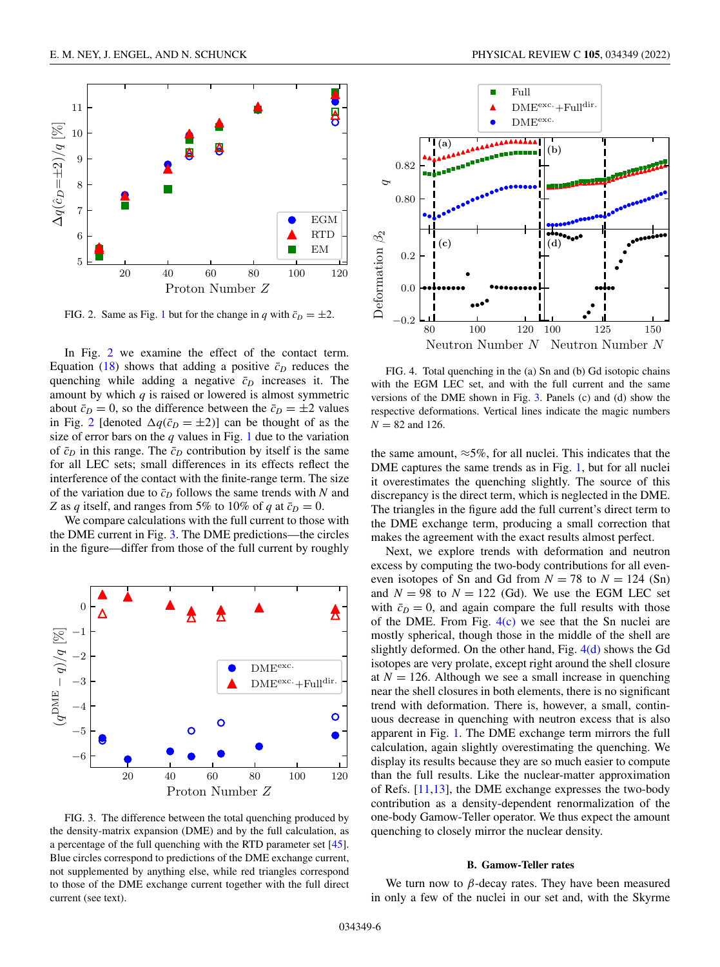

FIG. 2. Same as Fig. [1](#page-4-0) but for the change in *q* with  $\bar{c}_D = \pm 2$ .

In Fig. 2 we examine the effect of the contact term. Equation [\(18\)](#page-3-0) shows that adding a positive  $\bar{c}_D$  reduces the quenching while adding a negative  $\bar{c}_D$  increases it. The amount by which *q* is raised or lowered is almost symmetric about  $\bar{c}_D = 0$ , so the difference between the  $\bar{c}_D = \pm 2$  values in Fig. 2 [denoted  $\Delta q(\bar{c}_D = \pm 2)$ ] can be thought of as the size of error bars on the  $q$  values in Fig. [1](#page-4-0) due to the variation of  $\bar{c}_D$  in this range. The  $\bar{c}_D$  contribution by itself is the same for all LEC sets; small differences in its effects reflect the interference of the contact with the finite-range term. The size of the variation due to  $\bar{c}_D$  follows the same trends with *N* and *Z* as *q* itself, and ranges from 5% to 10% of *q* at  $\bar{c}_D = 0$ .

We compare calculations with the full current to those with the DME current in Fig. 3. The DME predictions—the circles in the figure—differ from those of the full current by roughly



FIG. 3. The difference between the total quenching produced by the density-matrix expansion (DME) and by the full calculation, as a percentage of the full quenching with the RTD parameter set [\[45\]](#page-11-0). Blue circles correspond to predictions of the DME exchange current, not supplemented by anything else, while red triangles correspond to those of the DME exchange current together with the full direct current (see text).



FIG. 4. Total quenching in the (a) Sn and (b) Gd isotopic chains with the EGM LEC set, and with the full current and the same versions of the DME shown in Fig. 3. Panels (c) and (d) show the respective deformations. Vertical lines indicate the magic numbers  $N = 82$  and 126.

the same amount,  $\approx 5\%$ , for all nuclei. This indicates that the DME captures the same trends as in Fig. [1,](#page-4-0) but for all nuclei it overestimates the quenching slightly. The source of this discrepancy is the direct term, which is neglected in the DME. The triangles in the figure add the full current's direct term to the DME exchange term, producing a small correction that makes the agreement with the exact results almost perfect.

Next, we explore trends with deformation and neutron excess by computing the two-body contributions for all eveneven isotopes of Sn and Gd from  $N = 78$  to  $N = 124$  (Sn) and  $N = 98$  to  $N = 122$  (Gd). We use the EGM LEC set with  $\bar{c}_D = 0$ , and again compare the full results with those of the DME. From Fig.  $4(c)$  we see that the Sn nuclei are mostly spherical, though those in the middle of the shell are slightly deformed. On the other hand, Fig.  $4(d)$  shows the Gd isotopes are very prolate, except right around the shell closure at  $N = 126$ . Although we see a small increase in quenching near the shell closures in both elements, there is no significant trend with deformation. There is, however, a small, continuous decrease in quenching with neutron excess that is also apparent in Fig. [1.](#page-4-0) The DME exchange term mirrors the full calculation, again slightly overestimating the quenching. We display its results because they are so much easier to compute than the full results. Like the nuclear-matter approximation of Refs. [\[11,13\]](#page-10-0), the DME exchange expresses the two-body contribution as a density-dependent renormalization of the one-body Gamow-Teller operator. We thus expect the amount quenching to closely mirror the nuclear density.

### **B. Gamow-Teller rates**

We turn now to  $\beta$ -decay rates. They have been measured in only a few of the nuclei in our set and, with the Skyrme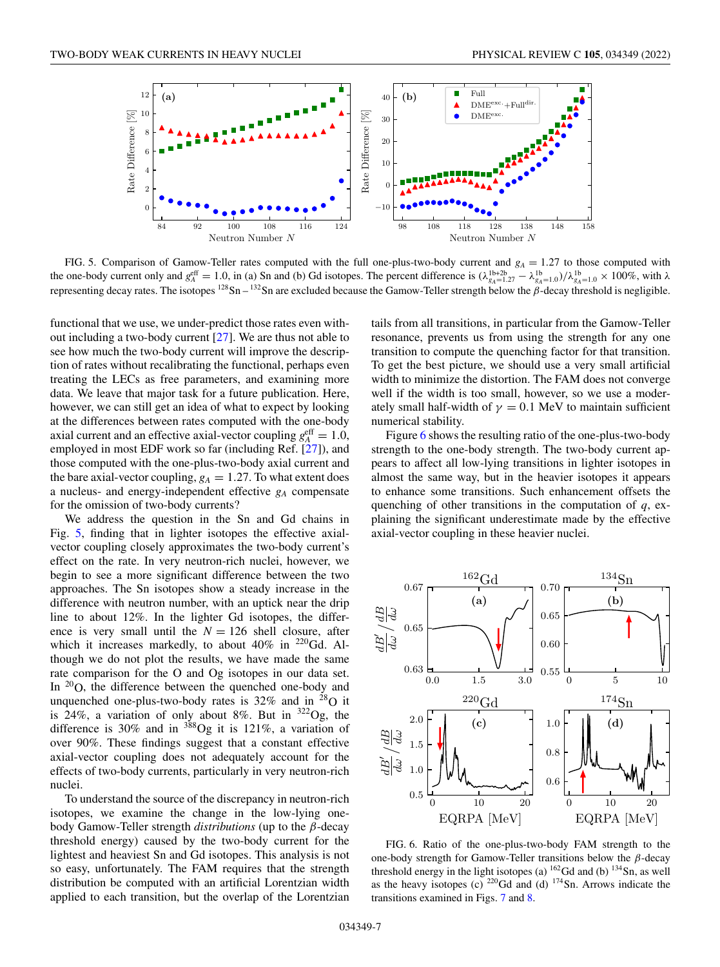<span id="page-6-0"></span>

FIG. 5. Comparison of Gamow-Teller rates computed with the full one-plus-two-body current and  $g_A = 1.27$  to those computed with the one-body current only and  $g_A^{\text{eff}} = 1.0$ , in (a) Sn and (b) Gd isotopes. The percent difference is  $(\lambda_{g_A=1.27}^{1b+2b} - \lambda_{g_A=1.0}^{1b})/\lambda_{g_A=1.0}^{1b} \times 100\%$ , with  $\lambda$ representing decay rates. The isotopes  $128$ Sn –  $132$ Sn are excluded because the Gamow-Teller strength below the β-decay threshold is negligible.

functional that we use, we under-predict those rates even without including a two-body current [\[27\]](#page-10-0). We are thus not able to see how much the two-body current will improve the description of rates without recalibrating the functional, perhaps even treating the LECs as free parameters, and examining more data. We leave that major task for a future publication. Here, however, we can still get an idea of what to expect by looking at the differences between rates computed with the one-body axial current and an effective axial-vector coupling  $g_A^{\text{eff}} = 1.0$ , employed in most EDF work so far (including Ref. [\[27\]](#page-10-0)), and those computed with the one-plus-two-body axial current and the bare axial-vector coupling,  $g_A = 1.27$ . To what extent does a nucleus- and energy-independent effective *gA* compensate for the omission of two-body currents?

We address the question in the Sn and Gd chains in Fig. 5, finding that in lighter isotopes the effective axialvector coupling closely approximates the two-body current's effect on the rate. In very neutron-rich nuclei, however, we begin to see a more significant difference between the two approaches. The Sn isotopes show a steady increase in the difference with neutron number, with an uptick near the drip line to about 12%. In the lighter Gd isotopes, the difference is very small until the  $N = 126$  shell closure, after which it increases markedly, to about 40% in  $220$  Gd. Although we do not plot the results, we have made the same rate comparison for the O and Og isotopes in our data set. In <sup>20</sup>O, the difference between the quenched one-body and unquenched one-plus-two-body rates is  $32\%$  and in  $^{28}$ O it is 24%, a variation of only about 8%. But in  $322$ Og, the difference is 30% and in  $388$ Og it is 121%, a variation of over 90%. These findings suggest that a constant effective axial-vector coupling does not adequately account for the effects of two-body currents, particularly in very neutron-rich nuclei.

To understand the source of the discrepancy in neutron-rich isotopes, we examine the change in the low-lying onebody Gamow-Teller strength *distributions* (up to the β-decay threshold energy) caused by the two-body current for the lightest and heaviest Sn and Gd isotopes. This analysis is not so easy, unfortunately. The FAM requires that the strength distribution be computed with an artificial Lorentzian width applied to each transition, but the overlap of the Lorentzian

tails from all transitions, in particular from the Gamow-Teller resonance, prevents us from using the strength for any one transition to compute the quenching factor for that transition. To get the best picture, we should use a very small artificial width to minimize the distortion. The FAM does not converge well if the width is too small, however, so we use a moderately small half-width of  $\gamma = 0.1$  MeV to maintain sufficient numerical stability.

Figure 6 shows the resulting ratio of the one-plus-two-body strength to the one-body strength. The two-body current appears to affect all low-lying transitions in lighter isotopes in almost the same way, but in the heavier isotopes it appears to enhance some transitions. Such enhancement offsets the quenching of other transitions in the computation of *q*, explaining the significant underestimate made by the effective axial-vector coupling in these heavier nuclei.



FIG. 6. Ratio of the one-plus-two-body FAM strength to the one-body strength for Gamow-Teller transitions below the  $\beta$ -decay threshold energy in the light isotopes (a)  $^{162}$ Gd and (b)  $^{134}$ Sn, as well as the heavy isotopes (c)  $^{220}$ Gd and (d)  $^{174}$ Sn. Arrows indicate the transitions examined in Figs. [7](#page-7-0) and [8.](#page-8-0)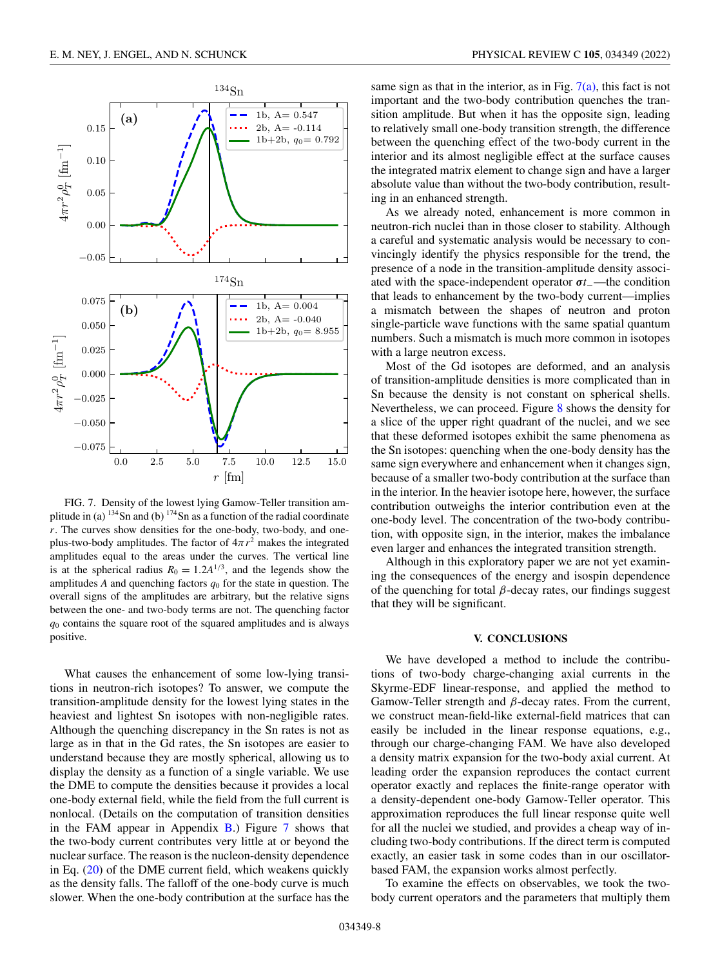<span id="page-7-0"></span>

FIG. 7. Density of the lowest lying Gamow-Teller transition amplitude in (a)  $134$ Sn and (b)  $174$ Sn as a function of the radial coordinate *r*. The curves show densities for the one-body, two-body, and oneplus-two-body amplitudes. The factor of  $4\pi r^2$  makes the integrated amplitudes equal to the areas under the curves. The vertical line is at the spherical radius  $R_0 = 1.2A^{1/3}$ , and the legends show the amplitudes  $A$  and quenching factors  $q_0$  for the state in question. The overall signs of the amplitudes are arbitrary, but the relative signs between the one- and two-body terms are not. The quenching factor *q*<sup>0</sup> contains the square root of the squared amplitudes and is always positive.

What causes the enhancement of some low-lying transitions in neutron-rich isotopes? To answer, we compute the transition-amplitude density for the lowest lying states in the heaviest and lightest Sn isotopes with non-negligible rates. Although the quenching discrepancy in the Sn rates is not as large as in that in the Gd rates, the Sn isotopes are easier to understand because they are mostly spherical, allowing us to display the density as a function of a single variable. We use the DME to compute the densities because it provides a local one-body external field, while the field from the full current is nonlocal. (Details on the computation of transition densities in the FAM appear in Appendix  $\overline{B}$ .) Figure 7 shows that the two-body current contributes very little at or beyond the nuclear surface. The reason is the nucleon-density dependence in Eq. [\(20\)](#page-3-0) of the DME current field, which weakens quickly as the density falls. The falloff of the one-body curve is much slower. When the one-body contribution at the surface has the

same sign as that in the interior, as in Fig.  $7(a)$ , this fact is not important and the two-body contribution quenches the transition amplitude. But when it has the opposite sign, leading to relatively small one-body transition strength, the difference between the quenching effect of the two-body current in the interior and its almost negligible effect at the surface causes the integrated matrix element to change sign and have a larger absolute value than without the two-body contribution, resulting in an enhanced strength.

As we already noted, enhancement is more common in neutron-rich nuclei than in those closer to stability. Although a careful and systematic analysis would be necessary to convincingly identify the physics responsible for the trend, the presence of a node in the transition-amplitude density associated with the space-independent operator *σt*−—the condition that leads to enhancement by the two-body current—implies a mismatch between the shapes of neutron and proton single-particle wave functions with the same spatial quantum numbers. Such a mismatch is much more common in isotopes with a large neutron excess.

Most of the Gd isotopes are deformed, and an analysis of transition-amplitude densities is more complicated than in Sn because the density is not constant on spherical shells. Nevertheless, we can proceed. Figure [8](#page-8-0) shows the density for a slice of the upper right quadrant of the nuclei, and we see that these deformed isotopes exhibit the same phenomena as the Sn isotopes: quenching when the one-body density has the same sign everywhere and enhancement when it changes sign, because of a smaller two-body contribution at the surface than in the interior. In the heavier isotope here, however, the surface contribution outweighs the interior contribution even at the one-body level. The concentration of the two-body contribution, with opposite sign, in the interior, makes the imbalance even larger and enhances the integrated transition strength.

Although in this exploratory paper we are not yet examining the consequences of the energy and isospin dependence of the quenching for total  $\beta$ -decay rates, our findings suggest that they will be significant.

## **V. CONCLUSIONS**

We have developed a method to include the contributions of two-body charge-changing axial currents in the Skyrme-EDF linear-response, and applied the method to Gamow-Teller strength and  $\beta$ -decay rates. From the current, we construct mean-field-like external-field matrices that can easily be included in the linear response equations, e.g., through our charge-changing FAM. We have also developed a density matrix expansion for the two-body axial current. At leading order the expansion reproduces the contact current operator exactly and replaces the finite-range operator with a density-dependent one-body Gamow-Teller operator. This approximation reproduces the full linear response quite well for all the nuclei we studied, and provides a cheap way of including two-body contributions. If the direct term is computed exactly, an easier task in some codes than in our oscillatorbased FAM, the expansion works almost perfectly.

To examine the effects on observables, we took the twobody current operators and the parameters that multiply them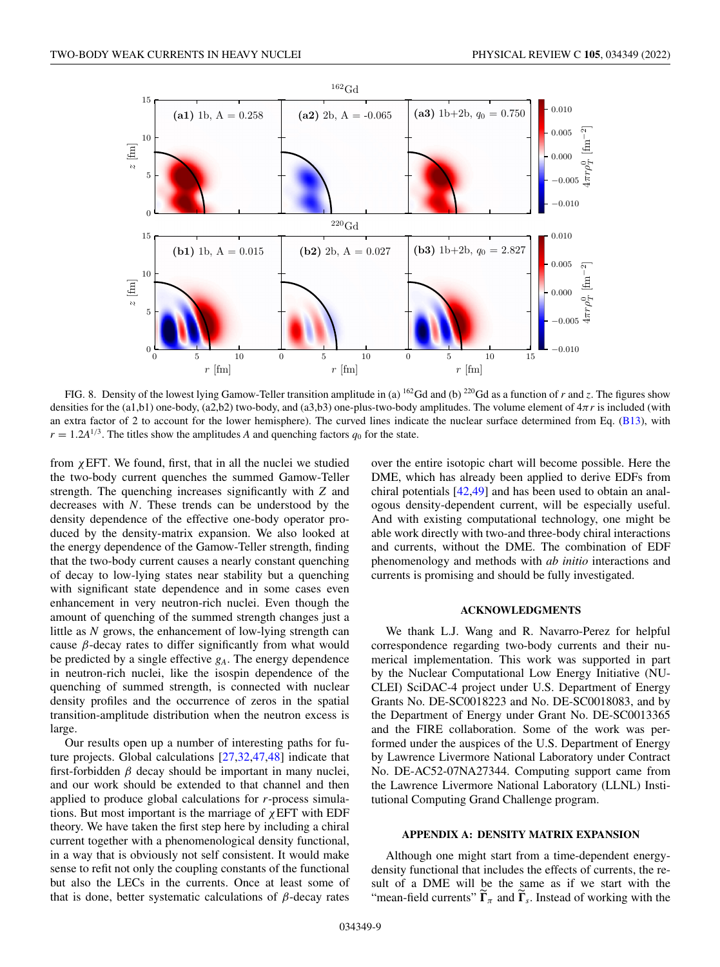<span id="page-8-0"></span>

FIG. 8. Density of the lowest lying Gamow-Teller transition amplitude in (a)  $^{162}$ Gd and (b)  $^{220}$ Gd as a function of *r* and *z*. The figures show densities for the (a1,b1) one-body, (a2,b2) two-body, and (a3,b3) one-plus-two-body amplitudes. The volume element of 4π*r* is included (with an extra factor of 2 to account for the lower hemisphere). The curved lines indicate the nuclear surface determined from Eq. [\(B13\)](#page-10-0), with  $r = 1.2A^{1/3}$ . The titles show the amplitudes *A* and quenching factors  $q_0$  for the state.

from  $\chi$ EFT. We found, first, that in all the nuclei we studied the two-body current quenches the summed Gamow-Teller strength. The quenching increases significantly with *Z* and decreases with *N*. These trends can be understood by the density dependence of the effective one-body operator produced by the density-matrix expansion. We also looked at the energy dependence of the Gamow-Teller strength, finding that the two-body current causes a nearly constant quenching of decay to low-lying states near stability but a quenching with significant state dependence and in some cases even enhancement in very neutron-rich nuclei. Even though the amount of quenching of the summed strength changes just a little as *N* grows, the enhancement of low-lying strength can cause  $\beta$ -decay rates to differ significantly from what would be predicted by a single effective *gA*. The energy dependence in neutron-rich nuclei, like the isospin dependence of the quenching of summed strength, is connected with nuclear density profiles and the occurrence of zeros in the spatial transition-amplitude distribution when the neutron excess is large.

Our results open up a number of interesting paths for future projects. Global calculations [\[27,](#page-10-0)[32,47,48\]](#page-11-0) indicate that first-forbidden  $\beta$  decay should be important in many nuclei, and our work should be extended to that channel and then applied to produce global calculations for *r*-process simulations. But most important is the marriage of  $\chi$ EFT with EDF theory. We have taken the first step here by including a chiral current together with a phenomenological density functional, in a way that is obviously not self consistent. It would make sense to refit not only the coupling constants of the functional but also the LECs in the currents. Once at least some of that is done, better systematic calculations of  $β$ -decay rates over the entire isotopic chart will become possible. Here the DME, which has already been applied to derive EDFs from chiral potentials [\[42,49\]](#page-11-0) and has been used to obtain an analogous density-dependent current, will be especially useful. And with existing computational technology, one might be able work directly with two-and three-body chiral interactions and currents, without the DME. The combination of EDF phenomenology and methods with *ab initio* interactions and currents is promising and should be fully investigated.

## **ACKNOWLEDGMENTS**

We thank L.J. Wang and R. Navarro-Perez for helpful correspondence regarding two-body currents and their numerical implementation. This work was supported in part by the Nuclear Computational Low Energy Initiative (NU-CLEI) SciDAC-4 project under U.S. Department of Energy Grants No. DE-SC0018223 and No. DE-SC0018083, and by the Department of Energy under Grant No. DE-SC0013365 and the FIRE collaboration. Some of the work was performed under the auspices of the U.S. Department of Energy by Lawrence Livermore National Laboratory under Contract No. DE-AC52-07NA27344. Computing support came from the Lawrence Livermore National Laboratory (LLNL) Institutional Computing Grand Challenge program.

## **APPENDIX A: DENSITY MATRIX EXPANSION**

Although one might start from a time-dependent energydensity functional that includes the effects of currents, the result of a DME will be the same as if we start with the "mean-field currents"  $\Gamma_{\pi}$  and  $\Gamma_{s}$ . Instead of working with the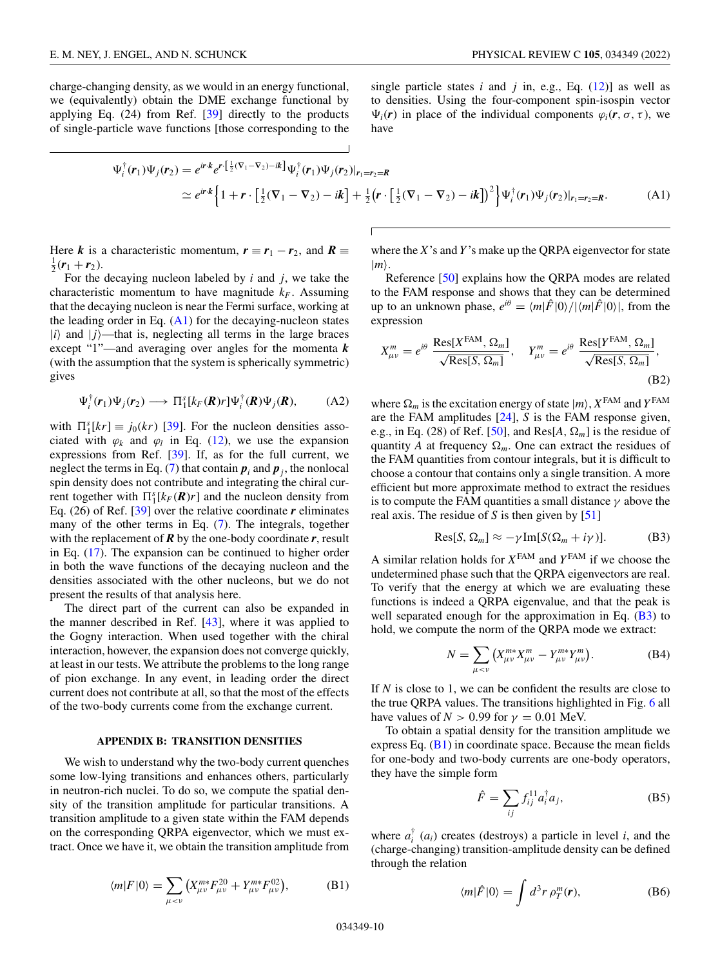<span id="page-9-0"></span>charge-changing density, as we would in an energy functional, we (equivalently) obtain the DME exchange functional by applying Eq. (24) from Ref. [\[39\]](#page-11-0) directly to the products of single-particle wave functions [those corresponding to the

single particle states  $i$  and  $j$  in, e.g., Eq.  $(12)$ ] as well as to densities. Using the four-component spin-isospin vector  $\Psi_i(\mathbf{r})$  in place of the individual components  $\varphi_i(\mathbf{r}, \sigma, \tau)$ , we have

$$
\Psi_i^{\dagger}(\mathbf{r}_1)\Psi_j(\mathbf{r}_2) = e^{i\mathbf{r}\cdot\mathbf{k}} e^{\mathbf{r}\cdot[\frac{1}{2}(\nabla_1 - \nabla_2) - i\mathbf{k}]} \Psi_i^{\dagger}(\mathbf{r}_1)\Psi_j(\mathbf{r}_2)|_{\mathbf{r}_1 = \mathbf{r}_2 = \mathbf{R}}
$$
\n
$$
\simeq e^{i\mathbf{r}\cdot\mathbf{k}} \Big\{ 1 + \mathbf{r} \cdot \Big[ \frac{1}{2} (\nabla_1 - \nabla_2) - i\mathbf{k} \Big] + \frac{1}{2} (\mathbf{r} \cdot [\frac{1}{2} (\nabla_1 - \nabla_2) - i\mathbf{k}])^2 \Big\} \Psi_i^{\dagger}(\mathbf{r}_1) \Psi_j(\mathbf{r}_2)|_{\mathbf{r}_1 = \mathbf{r}_2 = \mathbf{R}}.
$$
\n(A1)

Here *k* is a characteristic momentum,  $r \equiv r_1 - r_2$ , and  $R \equiv$  $\frac{1}{2}$ ( $\bm{r}_1 + \bm{r}_2$ ).

For the decaying nucleon labeled by *i* and *j*, we take the characteristic momentum to have magnitude  $k_F$ . Assuming that the decaying nucleon is near the Fermi surface, working at the leading order in Eq.  $(A1)$  for the decaying-nucleon states  $|i\rangle$  and  $|j\rangle$ —that is, neglecting all terms in the large braces except "1"—and averaging over angles for the momenta *k* (with the assumption that the system is spherically symmetric) gives

$$
\Psi_i^{\dagger}(\mathbf{r}_1)\Psi_j(\mathbf{r}_2) \longrightarrow \Pi_1^s[k_F(\mathbf{R})r]\Psi_i^{\dagger}(\mathbf{R})\Psi_j(\mathbf{R}), \tag{A2}
$$

with  $\Pi_1^s[kr] \equiv j_0(kr)$  [\[39\]](#page-11-0). For the nucleon densities associated with  $\varphi_k$  and  $\varphi_l$  in Eq. [\(12\)](#page-2-0), we use the expansion expressions from Ref. [\[39\]](#page-11-0). If, as for the full current, we neglect the terms in Eq. [\(7\)](#page-1-0) that contain  $p_i$  and  $p_j$ , the nonlocal spin density does not contribute and integrating the chiral current together with  $\prod_{i=1}^{s} [k_F(\mathbf{R})r]$  and the nucleon density from Eq.  $(26)$  of Ref.  $[39]$  over the relative coordinate  $r$  eliminates many of the other terms in Eq. [\(7\)](#page-1-0). The integrals, together with the replacement of  $\vec{R}$  by the one-body coordinate  $\vec{r}$ , result in Eq. [\(17\)](#page-3-0). The expansion can be continued to higher order in both the wave functions of the decaying nucleon and the densities associated with the other nucleons, but we do not present the results of that analysis here.

The direct part of the current can also be expanded in the manner described in Ref. [\[43\]](#page-11-0), where it was applied to the Gogny interaction. When used together with the chiral interaction, however, the expansion does not converge quickly, at least in our tests. We attribute the problems to the long range of pion exchange. In any event, in leading order the direct current does not contribute at all, so that the most of the effects of the two-body currents come from the exchange current.

### **APPENDIX B: TRANSITION DENSITIES**

We wish to understand why the two-body current quenches some low-lying transitions and enhances others, particularly in neutron-rich nuclei. To do so, we compute the spatial density of the transition amplitude for particular transitions. A transition amplitude to a given state within the FAM depends on the corresponding QRPA eigenvector, which we must extract. Once we have it, we obtain the transition amplitude from

$$
\langle m|F|0\rangle = \sum_{\mu < \nu} \left( X_{\mu\nu}^{m*} F_{\mu\nu}^{20} + Y_{\mu\nu}^{m*} F_{\mu\nu}^{02} \right),\tag{B1}
$$

where the *X*'s and *Y* 's make up the QRPA eigenvector for state  $|m\rangle$ .

Reference [\[50\]](#page-11-0) explains how the QRPA modes are related to the FAM response and shows that they can be determined up to an unknown phase,  $e^{i\theta} = \langle m|\hat{F}|0\rangle / |\langle m|\hat{F}|0\rangle|$ , from the expression

$$
X_{\mu\nu}^{m} = e^{i\theta} \frac{\text{Res}[X^{\text{FAM}}, \Omega_{m}]}{\sqrt{\text{Res}[S, \Omega_{m}]}}, \quad Y_{\mu\nu}^{m} = e^{i\theta} \frac{\text{Res}[Y^{\text{FAM}}, \Omega_{m}]}{\sqrt{\text{Res}[S, \Omega_{m}]}},
$$
\n(B2)

where  $\Omega_m$  is the excitation energy of state  $|m\rangle$ ,  $X^{\text{FAM}}$  and  $Y^{\text{FAM}}$ are the FAM amplitudes [\[24\]](#page-10-0), *S* is the FAM response given, e.g., in Eq. (28) of Ref. [\[50\]](#page-11-0), and Res[ $A$ ,  $\Omega_m$ ] is the residue of quantity *A* at frequency  $\Omega_m$ . One can extract the residues of the FAM quantities from contour integrals, but it is difficult to choose a contour that contains only a single transition. A more efficient but more approximate method to extract the residues is to compute the FAM quantities a small distance  $\gamma$  above the real axis. The residue of *S* is then given by [\[51\]](#page-11-0)

$$
\text{Res}[S, \Omega_m] \approx -\gamma \,\text{Im}[S(\Omega_m + i\gamma)].\tag{B3}
$$

A similar relation holds for  $X^{FAM}$  and  $Y^{FAM}$  if we choose the undetermined phase such that the QRPA eigenvectors are real. To verify that the energy at which we are evaluating these functions is indeed a QRPA eigenvalue, and that the peak is well separated enough for the approximation in Eq.  $(B3)$  to hold, we compute the norm of the QRPA mode we extract:

$$
N = \sum_{\mu < \nu} \left( X_{\mu\nu}^{m*} X_{\mu\nu}^m - Y_{\mu\nu}^{m*} Y_{\mu\nu}^m \right). \tag{B4}
$$

If *N* is close to 1, we can be confident the results are close to the true QRPA values. The transitions highlighted in Fig. [6](#page-6-0) all have values of  $N > 0.99$  for  $\gamma = 0.01$  MeV.

To obtain a spatial density for the transition amplitude we express Eq. (B1) in coordinate space. Because the mean fields for one-body and two-body currents are one-body operators, they have the simple form

$$
\hat{F} = \sum_{ij} f_{ij}^{11} a_i^{\dagger} a_j,
$$
 (B5)

where  $a_i^{\dagger}$  ( $a_i$ ) creates (destroys) a particle in level *i*, and the (charge-changing) transition-amplitude density can be defined through the relation

$$
\langle m|\hat{F}|0\rangle = \int d^3r \,\rho_T^m(\mathbf{r}),\tag{B6}
$$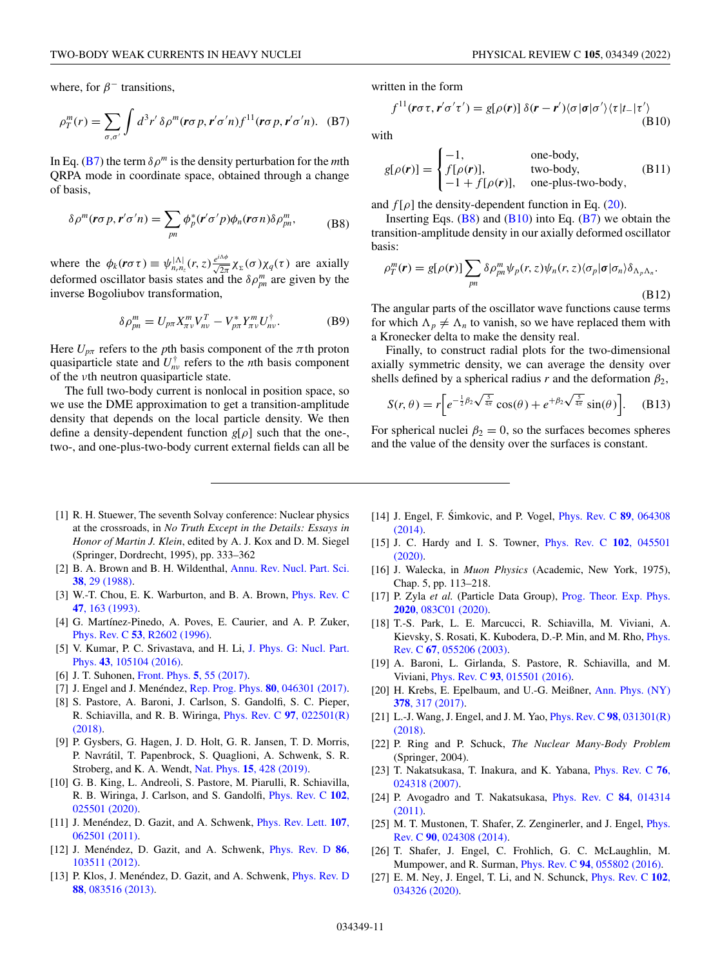<span id="page-10-0"></span>
$$
\rho_T^m(r) = \sum_{\sigma,\sigma'} \int d^3r' \,\delta \rho^m(\mathbf{r}\sigma \, p, \mathbf{r}'\sigma' n) f^{11}(\mathbf{r}\sigma \, p, \mathbf{r}'\sigma' n). \tag{B7}
$$

In Eq. (B7) the term  $\delta \rho^m$  is the density perturbation for the *m*th QRPA mode in coordinate space, obtained through a change of basis,

$$
\delta \rho^{m}(\mathbf{r}\sigma p, \mathbf{r}'\sigma' n) = \sum_{pn} \phi_{p}^{*}(\mathbf{r}'\sigma' p)\phi_{n}(\mathbf{r}\sigma n)\delta \rho_{pn}^{m}, \tag{B8}
$$

where the  $\phi_k(r\sigma\tau) \equiv \psi_{n,n_z}^{|\Lambda|}(r,z) \frac{e^{i\Lambda\phi}}{\sqrt{2\pi}} \chi_{\Sigma}(\sigma) \chi_q(\tau)$  are axially deformed oscillator basis states and the  $\delta \rho_{pn}^m$  are given by the inverse Bogoliubov transformation,

$$
\delta \rho_{pn}^m = U_{p\pi} X_{\pi\nu}^m V_{n\nu}^T - V_{p\pi}^* Y_{\pi\nu}^m U_{n\nu}^\dagger. \tag{B9}
$$

Here  $U_{p\pi}$  refers to the *p*th basis component of the  $\pi$ th proton quasiparticle state and  $U_{nv}^{\dagger}$  refers to the *n*th basis component of the νth neutron quasiparticle state.

The full two-body current is nonlocal in position space, so we use the DME approximation to get a transition-amplitude density that depends on the local particle density. We then define a density-dependent function *g*[ρ] such that the one-, two-, and one-plus-two-body current external fields can all be

written in the form

$$
f^{11}(r\sigma\tau, r'\sigma'\tau') = g[\rho(r)] \,\delta(r - r')\langle\sigma|\sigma|\sigma'\rangle\langle\tau|t_{-}|\tau'\rangle
$$
\n(B10)

with

$$
g[\rho(\mathbf{r})] = \begin{cases} -1, & \text{one-body,} \\ f[\rho(\mathbf{r})], & \text{two-body,} \\ -1 + f[\rho(\mathbf{r})], & \text{one-plus-two-body,} \end{cases}
$$
 (B11)

and  $f[\rho]$  the density-dependent function in Eq. [\(20\)](#page-3-0).

Inserting Eqs.  $(B8)$  and  $(B10)$  into Eq.  $(B7)$  we obtain the transition-amplitude density in our axially deformed oscillator basis:

$$
\rho_T^m(\mathbf{r}) = g[\rho(\mathbf{r})] \sum_{pn} \delta \rho_{pn}^m \psi_p(r, z) \psi_n(r, z) \langle \sigma_p | \sigma | \sigma_n \rangle \delta_{\Lambda_p \Lambda_n}.
$$
\n(B12)

The angular parts of the oscillator wave functions cause terms for which  $\Lambda_p \neq \Lambda_n$  to vanish, so we have replaced them with a Kronecker delta to make the density real.

Finally, to construct radial plots for the two-dimensional axially symmetric density, we can average the density over shells defined by a spherical radius *r* and the deformation  $\beta_2$ ,

$$
S(r,\theta) = r \left[ e^{-\frac{1}{2}\beta_2 \sqrt{\frac{5}{4\pi}}} \cos(\theta) + e^{+\beta_2 \sqrt{\frac{5}{4\pi}}} \sin(\theta) \right].
$$
 (B13)

For spherical nuclei  $\beta_2 = 0$ , so the surfaces becomes spheres and the value of the density over the surfaces is constant.

- [1] R. H. Stuewer, The seventh Solvay conference: Nuclear physics at the crossroads, in *No Truth Except in the Details: Essays in Honor of Martin J. Klein*, edited by A. J. Kox and D. M. Siegel (Springer, Dordrecht, 1995), pp. 333–362
- [2] [B. A. Brown and B. H. Wildenthal,](https://doi.org/10.1146/annurev.ns.38.120188.000333) Annu. Rev. Nucl. Part. Sci. **38**, 29 (1988).
- [3] [W.-T. Chou, E. K. Warburton, and B. A. Brown,](https://doi.org/10.1103/PhysRevC.47.163) Phys. Rev. C **47**, 163 (1993).
- [4] G. Martínez-Pinedo, A. Poves, E. Caurier, and A. P. Zuker, Phys. Rev. C **53**[, R2602 \(1996\).](https://doi.org/10.1103/PhysRevC.53.R2602)
- [5] [V. Kumar, P. C. Srivastava, and H. Li,](https://doi.org/10.1088/0954-3899/43/10/105104) J. Phys. G: Nucl. Part. Phys. **43**, 105104 (2016).
- [6] J. T. Suhonen, [Front. Phys.](https://doi.org/10.3389/fphy.2017.00055) **5**, 55 (2017).
- [7] J. Engel and J. Menéndez, [Rep. Prog. Phys.](https://doi.org/10.1088/1361-6633/aa5bc5) **80**, 046301 (2017).
- [8] S. Pastore, A. Baroni, J. Carlson, S. Gandolfi, S. C. Pieper, [R. Schiavilla, and R. B. Wiringa,](https://doi.org/10.1103/PhysRevC.97.022501) Phys. Rev. C **97**, 022501(R) (2018).
- [9] P. Gysbers, G. Hagen, J. D. Holt, G. R. Jansen, T. D. Morris, P. Navrátil, T. Papenbrock, S. Quaglioni, A. Schwenk, S. R. Stroberg, and K. A. Wendt, Nat. Phys. **15**[, 428 \(2019\).](https://doi.org/10.1038/s41567-019-0450-7)
- [10] G. B. King, L. Andreoli, S. Pastore, M. Piarulli, R. Schiavilla, [R. B. Wiringa, J. Carlson, and S. Gandolfi,](https://doi.org/10.1103/PhysRevC.102.025501) Phys. Rev. C **102**, 025501 (2020).
- [11] [J. Menéndez, D. Gazit, and A. Schwenk,](https://doi.org/10.1103/PhysRevLett.107.062501) Phys. Rev. Lett. **107**, 062501 (2011).
- [12] [J. Menéndez, D. Gazit, and A. Schwenk,](https://doi.org/10.1103/PhysRevD.86.103511) Phys. Rev. D **86**, 103511 (2012).
- [13] [P. Klos, J. Menéndez, D. Gazit, and A. Schwenk,](https://doi.org/10.1103/PhysRevD.88.083516) *Phys. Rev. D* **88**, 083516 (2013).
- [14] J. Engel, F. Śimkovic, and P. Vogel, *Phys. Rev. C* 89, 064308 (2014).
- [15] [J. C. Hardy and I. S. Towner,](https://doi.org/10.1103/PhysRevC.102.045501) Phys. Rev. C **102**, 045501 (2020).
- [16] J. Walecka, in *Muon Physics* (Academic, New York, 1975), Chap. 5, pp. 113–218.
- [17] P. Zyla *et al.* (Particle Data Group), [Prog. Theor. Exp. Phys.](https://doi.org/10.1093/ptep/ptaa104) **2020**, 083C01 (2020).
- [18] T.-S. Park, L. E. Marcucci, R. Schiavilla, M. Viviani, A. [Kievsky, S. Rosati, K. Kubodera, D.-P. Min, and M. Rho,](https://doi.org/10.1103/PhysRevC.67.055206) Phys. Rev. C **67**, 055206 (2003).
- [19] A. Baroni, L. Girlanda, S. Pastore, R. Schiavilla, and M. Viviani, Phys. Rev. C **93**[, 015501 \(2016\).](https://doi.org/10.1103/PhysRevC.93.015501)
- [20] [H. Krebs, E. Epelbaum, and U.-G. Meißner,](https://doi.org/10.1016/j.aop.2017.01.021) Ann. Phys. (NY) **378**, 317 (2017).
- [21] [L.-J. Wang, J. Engel, and J. M. Yao,](https://doi.org/10.1103/PhysRevC.98.031301) Phys. Rev. C **98**, 031301(R) (2018).
- [22] P. Ring and P. Schuck, *The Nuclear Many-Body Problem* (Springer, 2004).
- [23] [T. Nakatsukasa, T. Inakura, and K. Yabana,](https://doi.org/10.1103/PhysRevC.76.024318) Phys. Rev. C **76**, 024318 (2007).
- [24] [P. Avogadro and T. Nakatsukasa,](https://doi.org/10.1103/PhysRevC.84.014314) Phys. Rev. C **84**, 014314 (2011).
- [25] [M. T. Mustonen, T. Shafer, Z. Zenginerler, and J. Engel,](https://doi.org/10.1103/PhysRevC.90.024308) *Phys.* Rev. C **90**, 024308 (2014).
- [26] T. Shafer, J. Engel, C. Frohlich, G. C. McLaughlin, M. Mumpower, and R. Surman, Phys. Rev. C **94**[, 055802 \(2016\).](https://doi.org/10.1103/PhysRevC.94.055802)
- [27] [E. M. Ney, J. Engel, T. Li, and N. Schunck,](https://doi.org/10.1103/PhysRevC.102.034326) Phys. Rev. C **102**, 034326 (2020).